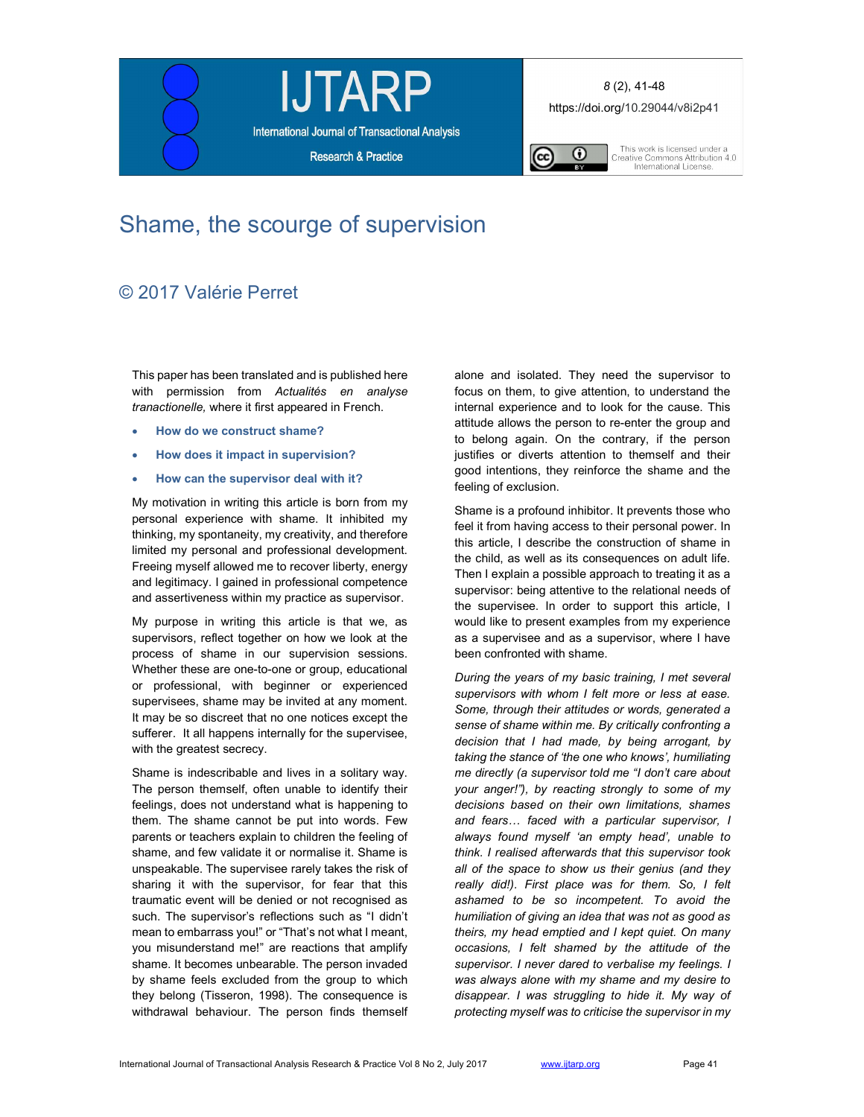





This work is licensed under a<br>Creative Commons Attribution 4.0<br>International License.

# Shame, the scourge of supervision

# © 2017 Valérie Perret

This paper has been translated and is published here with permission from Actualités en analyse tranactionelle, where it first appeared in French.

- How do we construct shame?
- How does it impact in supervision?
- How can the supervisor deal with it?

My motivation in writing this article is born from my personal experience with shame. It inhibited my thinking, my spontaneity, my creativity, and therefore limited my personal and professional development. Freeing myself allowed me to recover liberty, energy and legitimacy. I gained in professional competence and assertiveness within my practice as supervisor.

My purpose in writing this article is that we, as supervisors, reflect together on how we look at the process of shame in our supervision sessions. Whether these are one-to-one or group, educational or professional, with beginner or experienced supervisees, shame may be invited at any moment. It may be so discreet that no one notices except the sufferer. It all happens internally for the supervisee, with the greatest secrecy.

Shame is indescribable and lives in a solitary way. The person themself, often unable to identify their feelings, does not understand what is happening to them. The shame cannot be put into words. Few parents or teachers explain to children the feeling of shame, and few validate it or normalise it. Shame is unspeakable. The supervisee rarely takes the risk of sharing it with the supervisor, for fear that this traumatic event will be denied or not recognised as such. The supervisor's reflections such as "I didn't mean to embarrass you!" or "That's not what I meant, you misunderstand me!" are reactions that amplify shame. It becomes unbearable. The person invaded by shame feels excluded from the group to which they belong (Tisseron, 1998). The consequence is withdrawal behaviour. The person finds themself

alone and isolated. They need the supervisor to focus on them, to give attention, to understand the internal experience and to look for the cause. This attitude allows the person to re-enter the group and to belong again. On the contrary, if the person justifies or diverts attention to themself and their good intentions, they reinforce the shame and the feeling of exclusion.

Shame is a profound inhibitor. It prevents those who feel it from having access to their personal power. In this article, I describe the construction of shame in the child, as well as its consequences on adult life. Then I explain a possible approach to treating it as a supervisor: being attentive to the relational needs of the supervisee. In order to support this article, I would like to present examples from my experience as a supervisee and as a supervisor, where I have been confronted with shame.

During the years of my basic training, I met several supervisors with whom I felt more or less at ease. Some, through their attitudes or words, generated a sense of shame within me. By critically confronting a decision that I had made, by being arrogant, by taking the stance of 'the one who knows', humiliating me directly (a supervisor told me "I don't care about your anger!"), by reacting strongly to some of my decisions based on their own limitations, shames and fears… faced with a particular supervisor, I always found myself 'an empty head', unable to think. I realised afterwards that this supervisor took all of the space to show us their genius (and they really did!). First place was for them. So, I felt ashamed to be so incompetent. To avoid the humiliation of giving an idea that was not as good as theirs, my head emptied and I kept quiet. On many occasions, I felt shamed by the attitude of the supervisor. I never dared to verbalise my feelings. I was always alone with my shame and my desire to disappear. I was struggling to hide it. My way of protecting myself was to criticise the supervisor in my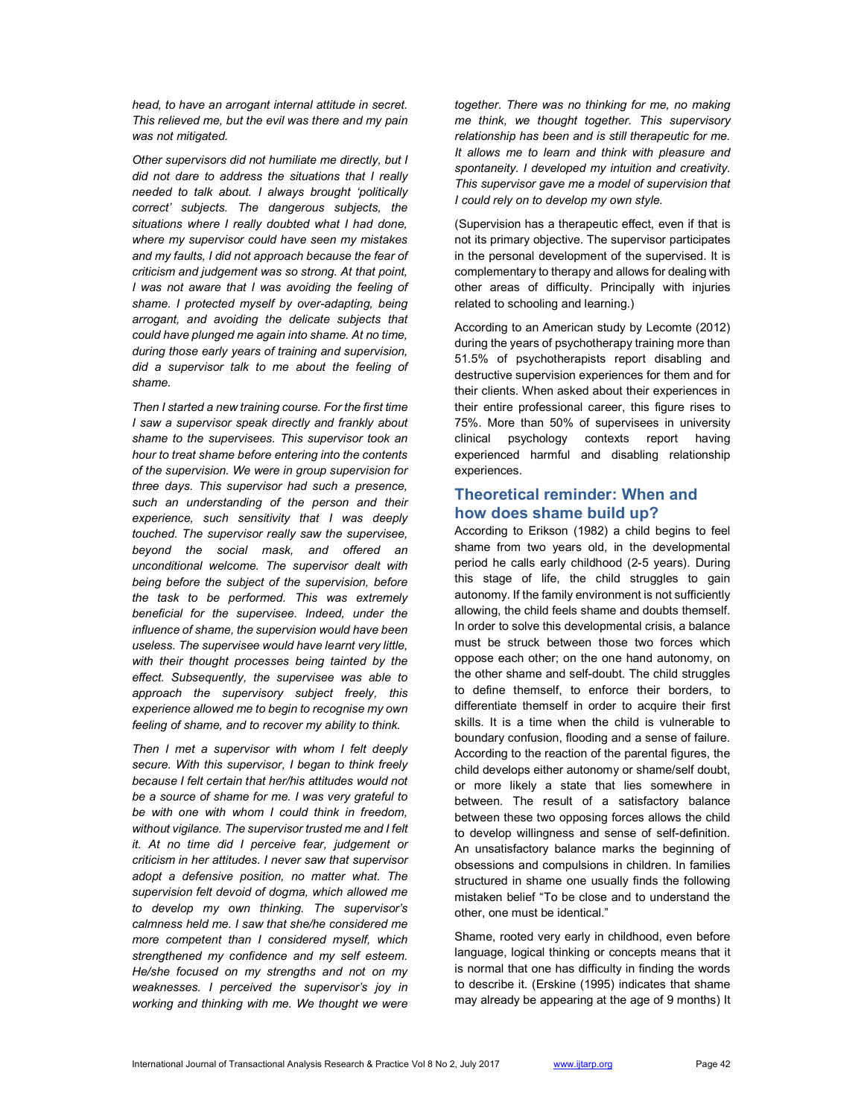head, to have an arrogant internal attitude in secret. This relieved me, but the evil was there and my pain was not mitigated.

Other supervisors did not humiliate me directly, but I did not dare to address the situations that I really needed to talk about. I always brought 'politically correct' subjects. The dangerous subjects, the situations where I really doubted what I had done, where my supervisor could have seen my mistakes and my faults, I did not approach because the fear of criticism and judgement was so strong. At that point, I was not aware that I was avoiding the feeling of shame. I protected myself by over-adapting, being arrogant, and avoiding the delicate subjects that could have plunged me again into shame. At no time, during those early years of training and supervision, did a supervisor talk to me about the feeling of shame.

Then I started a new training course. For the first time I saw a supervisor speak directly and frankly about shame to the supervisees. This supervisor took an hour to treat shame before entering into the contents of the supervision. We were in group supervision for three days. This supervisor had such a presence, such an understanding of the person and their experience, such sensitivity that I was deeply touched. The supervisor really saw the supervisee, beyond the social mask, and offered an unconditional welcome. The supervisor dealt with being before the subject of the supervision, before the task to be performed. This was extremely beneficial for the supervisee. Indeed, under the influence of shame, the supervision would have been useless. The supervisee would have learnt very little, with their thought processes being tainted by the effect. Subsequently, the supervisee was able to approach the supervisory subject freely, this experience allowed me to begin to recognise my own feeling of shame, and to recover my ability to think.

Then I met a supervisor with whom I felt deeply secure. With this supervisor, I began to think freely because I felt certain that her/his attitudes would not be a source of shame for me. I was very grateful to be with one with whom I could think in freedom, without vigilance. The supervisor trusted me and I felt it. At no time did I perceive fear, judgement or criticism in her attitudes. I never saw that supervisor adopt a defensive position, no matter what. The supervision felt devoid of dogma, which allowed me to develop my own thinking. The supervisor's calmness held me. I saw that she/he considered me more competent than I considered myself, which strengthened my confidence and my self esteem. He/she focused on my strengths and not on my weaknesses. I perceived the supervisor's joy in working and thinking with me. We thought we were

together. There was no thinking for me, no making me think, we thought together. This supervisory relationship has been and is still therapeutic for me. It allows me to learn and think with pleasure and spontaneity. I developed my intuition and creativity. This supervisor gave me a model of supervision that I could rely on to develop my own style.

(Supervision has a therapeutic effect, even if that is not its primary objective. The supervisor participates in the personal development of the supervised. It is complementary to therapy and allows for dealing with other areas of difficulty. Principally with injuries related to schooling and learning.)

According to an American study by Lecomte (2012) during the years of psychotherapy training more than 51.5% of psychotherapists report disabling and destructive supervision experiences for them and for their clients. When asked about their experiences in their entire professional career, this figure rises to 75%. More than 50% of supervisees in university clinical psychology contexts report having experienced harmful and disabling relationship experiences.

# Theoretical reminder: When and how does shame build up?

According to Erikson (1982) a child begins to feel shame from two years old, in the developmental period he calls early childhood (2-5 years). During this stage of life, the child struggles to gain autonomy. If the family environment is not sufficiently allowing, the child feels shame and doubts themself. In order to solve this developmental crisis, a balance must be struck between those two forces which oppose each other; on the one hand autonomy, on the other shame and self-doubt. The child struggles to define themself, to enforce their borders, to differentiate themself in order to acquire their first skills. It is a time when the child is vulnerable to boundary confusion, flooding and a sense of failure. According to the reaction of the parental figures, the child develops either autonomy or shame/self doubt, or more likely a state that lies somewhere in between. The result of a satisfactory balance between these two opposing forces allows the child to develop willingness and sense of self-definition. An unsatisfactory balance marks the beginning of obsessions and compulsions in children. In families structured in shame one usually finds the following mistaken belief "To be close and to understand the other, one must be identical."

Shame, rooted very early in childhood, even before language, logical thinking or concepts means that it is normal that one has difficulty in finding the words to describe it. (Erskine (1995) indicates that shame may already be appearing at the age of 9 months) It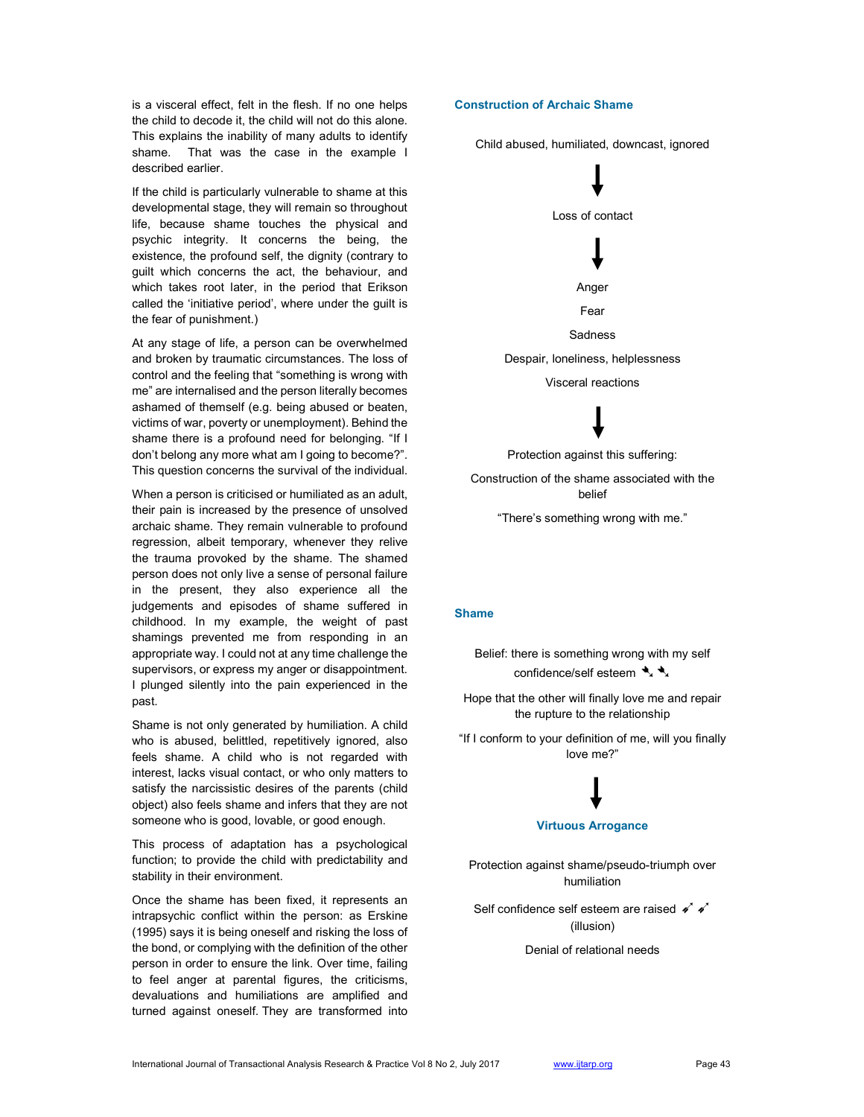is a visceral effect, felt in the flesh. If no one helps the child to decode it, the child will not do this alone. This explains the inability of many adults to identify shame. That was the case in the example I described earlier.

If the child is particularly vulnerable to shame at this developmental stage, they will remain so throughout life, because shame touches the physical and psychic integrity. It concerns the being, the existence, the profound self, the dignity (contrary to guilt which concerns the act, the behaviour, and which takes root later, in the period that Erikson called the 'initiative period', where under the guilt is the fear of punishment.)

At any stage of life, a person can be overwhelmed and broken by traumatic circumstances. The loss of control and the feeling that "something is wrong with me" are internalised and the person literally becomes ashamed of themself (e.g. being abused or beaten, victims of war, poverty or unemployment). Behind the shame there is a profound need for belonging. "If I don't belong any more what am I going to become?". This question concerns the survival of the individual.

When a person is criticised or humiliated as an adult, their pain is increased by the presence of unsolved archaic shame. They remain vulnerable to profound regression, albeit temporary, whenever they relive the trauma provoked by the shame. The shamed person does not only live a sense of personal failure in the present, they also experience all the judgements and episodes of shame suffered in childhood. In my example, the weight of past shamings prevented me from responding in an appropriate way. I could not at any time challenge the supervisors, or express my anger or disappointment. I plunged silently into the pain experienced in the past.

Shame is not only generated by humiliation. A child who is abused, belittled, repetitively ignored, also feels shame. A child who is not regarded with interest, lacks visual contact, or who only matters to satisfy the narcissistic desires of the parents (child object) also feels shame and infers that they are not someone who is good, lovable, or good enough.

This process of adaptation has a psychological function; to provide the child with predictability and stability in their environment.

Once the shame has been fixed, it represents an intrapsychic conflict within the person: as Erskine (1995) says it is being oneself and risking the loss of the bond, or complying with the definition of the other person in order to ensure the link. Over time, failing to feel anger at parental figures, the criticisms, devaluations and humiliations are amplified and turned against oneself. They are transformed into

#### Construction of Archaic Shame

Child abused, humiliated, downcast, ignored

Loss of contact Anger Fear Sadness

Despair, loneliness, helplessness

Visceral reactions

Protection against this suffering:

Construction of the shame associated with the belief

"There's something wrong with me."

#### Shame

Belief: there is something wrong with my self confidence/self esteem  $\rightarrow \rightarrow \rightarrow$ 

Hope that the other will finally love me and repair the rupture to the relationship

"If I conform to your definition of me, will you finally love me?"

### Virtuous Arrogance

Protection against shame/pseudo-triumph over humiliation

Self confidence self esteem are raised  $\checkmark \checkmark$ (illusion)

Denial of relational needs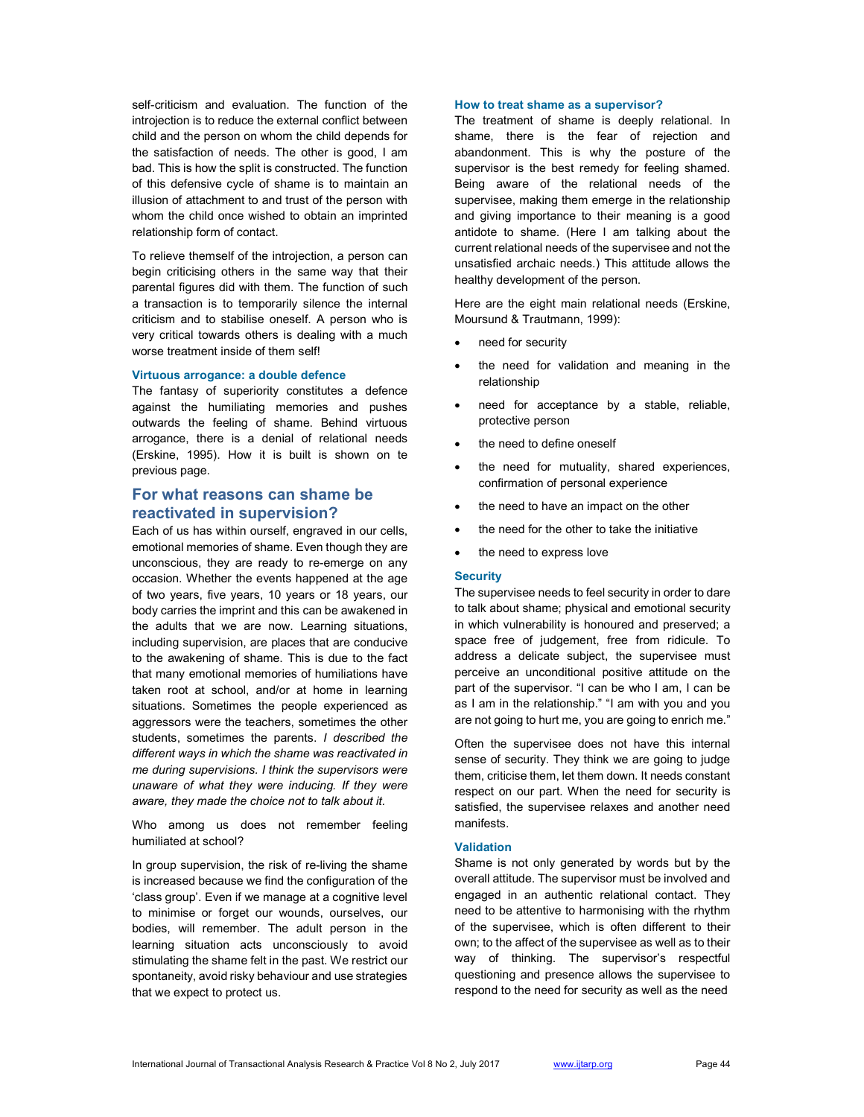self-criticism and evaluation. The function of the introjection is to reduce the external conflict between child and the person on whom the child depends for the satisfaction of needs. The other is good, I am bad. This is how the split is constructed. The function of this defensive cycle of shame is to maintain an illusion of attachment to and trust of the person with whom the child once wished to obtain an imprinted relationship form of contact.

To relieve themself of the introjection, a person can begin criticising others in the same way that their parental figures did with them. The function of such a transaction is to temporarily silence the internal criticism and to stabilise oneself. A person who is very critical towards others is dealing with a much worse treatment inside of them self!

#### Virtuous arrogance: a double defence

The fantasy of superiority constitutes a defence against the humiliating memories and pushes outwards the feeling of shame. Behind virtuous arrogance, there is a denial of relational needs (Erskine, 1995). How it is built is shown on te previous page.

# For what reasons can shame be reactivated in supervision?

Each of us has within ourself, engraved in our cells, emotional memories of shame. Even though they are unconscious, they are ready to re-emerge on any occasion. Whether the events happened at the age of two years, five years, 10 years or 18 years, our body carries the imprint and this can be awakened in the adults that we are now. Learning situations, including supervision, are places that are conducive to the awakening of shame. This is due to the fact that many emotional memories of humiliations have taken root at school, and/or at home in learning situations. Sometimes the people experienced as aggressors were the teachers, sometimes the other students, sometimes the parents. I described the different ways in which the shame was reactivated in me during supervisions. I think the supervisors were unaware of what they were inducing. If they were aware, they made the choice not to talk about it.

Who among us does not remember feeling humiliated at school?

In group supervision, the risk of re-living the shame is increased because we find the configuration of the 'class group'. Even if we manage at a cognitive level to minimise or forget our wounds, ourselves, our bodies, will remember. The adult person in the learning situation acts unconsciously to avoid stimulating the shame felt in the past. We restrict our spontaneity, avoid risky behaviour and use strategies that we expect to protect us.

#### How to treat shame as a supervisor?

The treatment of shame is deeply relational. In shame, there is the fear of rejection and abandonment. This is why the posture of the supervisor is the best remedy for feeling shamed. Being aware of the relational needs of the supervisee, making them emerge in the relationship and giving importance to their meaning is a good antidote to shame. (Here I am talking about the current relational needs of the supervisee and not the unsatisfied archaic needs.) This attitude allows the healthy development of the person.

Here are the eight main relational needs (Erskine, Moursund & Trautmann, 1999):

- need for security
- the need for validation and meaning in the relationship
- need for acceptance by a stable, reliable, protective person
- the need to define oneself
- the need for mutuality, shared experiences, confirmation of personal experience
- the need to have an impact on the other
- the need for the other to take the initiative
- the need to express love

#### **Security**

The supervisee needs to feel security in order to dare to talk about shame; physical and emotional security in which vulnerability is honoured and preserved; a space free of judgement, free from ridicule. To address a delicate subject, the supervisee must perceive an unconditional positive attitude on the part of the supervisor. "I can be who I am, I can be as I am in the relationship." "I am with you and you are not going to hurt me, you are going to enrich me."

Often the supervisee does not have this internal sense of security. They think we are going to judge them, criticise them, let them down. It needs constant respect on our part. When the need for security is satisfied, the supervisee relaxes and another need manifests.

#### **Validation**

Shame is not only generated by words but by the overall attitude. The supervisor must be involved and engaged in an authentic relational contact. They need to be attentive to harmonising with the rhythm of the supervisee, which is often different to their own; to the affect of the supervisee as well as to their way of thinking. The supervisor's respectful questioning and presence allows the supervisee to respond to the need for security as well as the need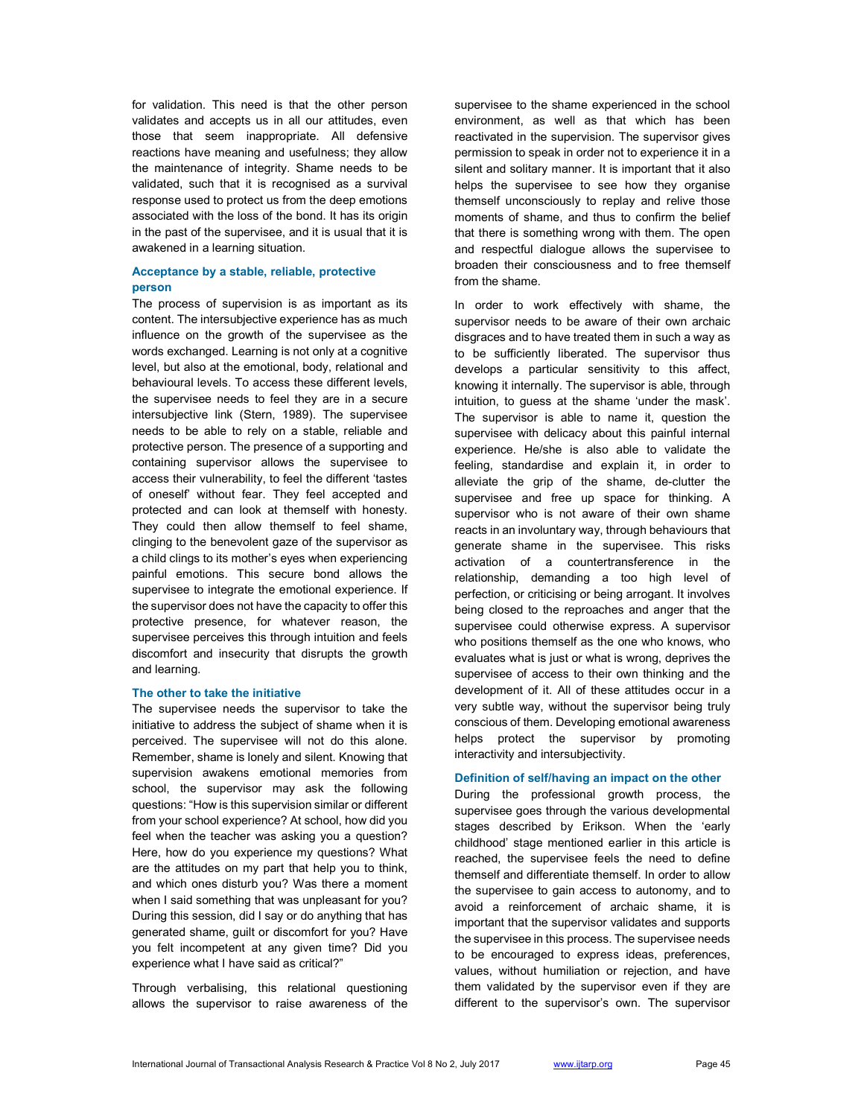for validation. This need is that the other person validates and accepts us in all our attitudes, even those that seem inappropriate. All defensive reactions have meaning and usefulness; they allow the maintenance of integrity. Shame needs to be validated, such that it is recognised as a survival response used to protect us from the deep emotions associated with the loss of the bond. It has its origin in the past of the supervisee, and it is usual that it is awakened in a learning situation.

## Acceptance by a stable, reliable, protective person

The process of supervision is as important as its content. The intersubjective experience has as much influence on the growth of the supervisee as the words exchanged. Learning is not only at a cognitive level, but also at the emotional, body, relational and behavioural levels. To access these different levels, the supervisee needs to feel they are in a secure intersubjective link (Stern, 1989). The supervisee needs to be able to rely on a stable, reliable and protective person. The presence of a supporting and containing supervisor allows the supervisee to access their vulnerability, to feel the different 'tastes of oneself' without fear. They feel accepted and protected and can look at themself with honesty. They could then allow themself to feel shame, clinging to the benevolent gaze of the supervisor as a child clings to its mother's eyes when experiencing painful emotions. This secure bond allows the supervisee to integrate the emotional experience. If the supervisor does not have the capacity to offer this protective presence, for whatever reason, the supervisee perceives this through intuition and feels discomfort and insecurity that disrupts the growth and learning.

#### The other to take the initiative

The supervisee needs the supervisor to take the initiative to address the subject of shame when it is perceived. The supervisee will not do this alone. Remember, shame is lonely and silent. Knowing that supervision awakens emotional memories from school, the supervisor may ask the following questions: "How is this supervision similar or different from your school experience? At school, how did you feel when the teacher was asking you a question? Here, how do you experience my questions? What are the attitudes on my part that help you to think, and which ones disturb you? Was there a moment when I said something that was unpleasant for you? During this session, did I say or do anything that has generated shame, guilt or discomfort for you? Have you felt incompetent at any given time? Did you experience what I have said as critical?"

Through verbalising, this relational questioning allows the supervisor to raise awareness of the

supervisee to the shame experienced in the school environment, as well as that which has been reactivated in the supervision. The supervisor gives permission to speak in order not to experience it in a silent and solitary manner. It is important that it also helps the supervisee to see how they organise themself unconsciously to replay and relive those moments of shame, and thus to confirm the belief that there is something wrong with them. The open and respectful dialogue allows the supervisee to broaden their consciousness and to free themself from the shame.

In order to work effectively with shame, the supervisor needs to be aware of their own archaic disgraces and to have treated them in such a way as to be sufficiently liberated. The supervisor thus develops a particular sensitivity to this affect, knowing it internally. The supervisor is able, through intuition, to guess at the shame 'under the mask'. The supervisor is able to name it, question the supervisee with delicacy about this painful internal experience. He/she is also able to validate the feeling, standardise and explain it, in order to alleviate the grip of the shame, de-clutter the supervisee and free up space for thinking. A supervisor who is not aware of their own shame reacts in an involuntary way, through behaviours that generate shame in the supervisee. This risks activation of a countertransference in the relationship, demanding a too high level of perfection, or criticising or being arrogant. It involves being closed to the reproaches and anger that the supervisee could otherwise express. A supervisor who positions themself as the one who knows, who evaluates what is just or what is wrong, deprives the supervisee of access to their own thinking and the development of it. All of these attitudes occur in a very subtle way, without the supervisor being truly conscious of them. Developing emotional awareness helps protect the supervisor by promoting interactivity and intersubjectivity.

#### Definition of self/having an impact on the other

During the professional growth process, the supervisee goes through the various developmental stages described by Erikson. When the 'early childhood' stage mentioned earlier in this article is reached, the supervisee feels the need to define themself and differentiate themself. In order to allow the supervisee to gain access to autonomy, and to avoid a reinforcement of archaic shame, it is important that the supervisor validates and supports the supervisee in this process. The supervisee needs to be encouraged to express ideas, preferences, values, without humiliation or rejection, and have them validated by the supervisor even if they are different to the supervisor's own. The supervisor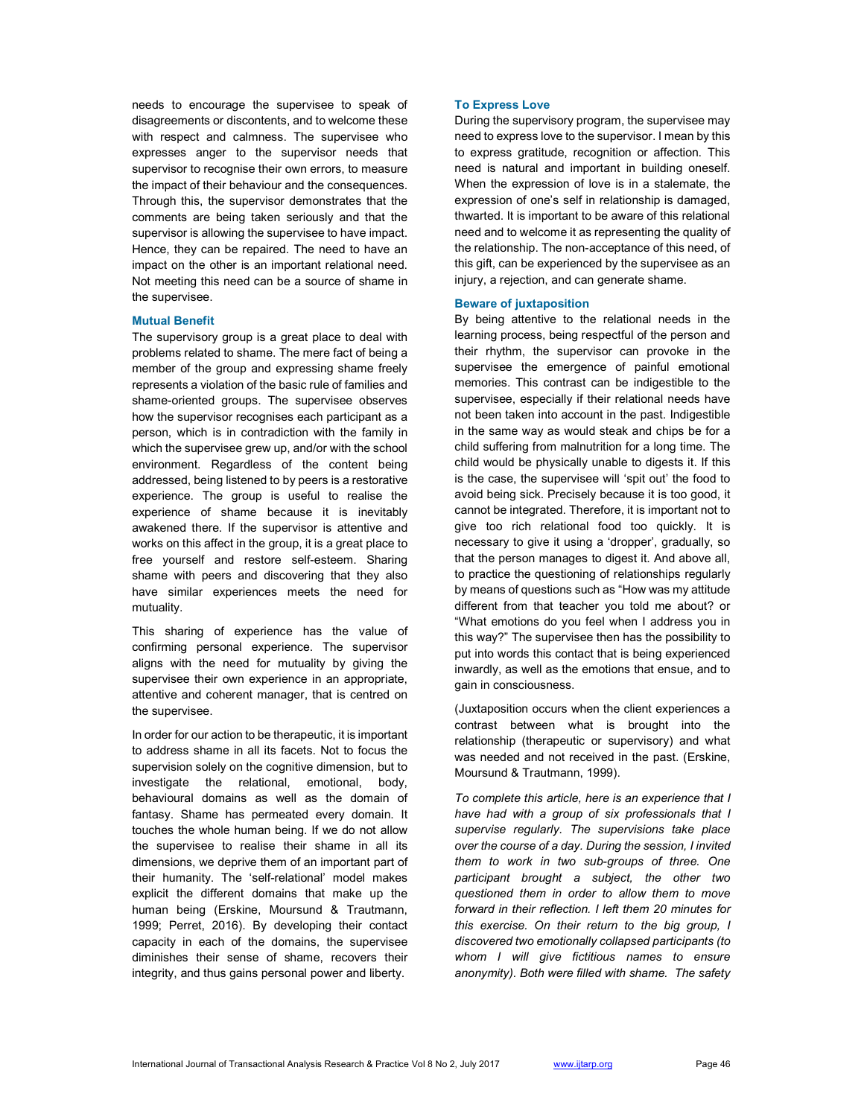needs to encourage the supervisee to speak of disagreements or discontents, and to welcome these with respect and calmness. The supervisee who expresses anger to the supervisor needs that supervisor to recognise their own errors, to measure the impact of their behaviour and the consequences. Through this, the supervisor demonstrates that the comments are being taken seriously and that the supervisor is allowing the supervisee to have impact. Hence, they can be repaired. The need to have an impact on the other is an important relational need. Not meeting this need can be a source of shame in the supervisee.

#### Mutual Benefit

The supervisory group is a great place to deal with problems related to shame. The mere fact of being a member of the group and expressing shame freely represents a violation of the basic rule of families and shame-oriented groups. The supervisee observes how the supervisor recognises each participant as a person, which is in contradiction with the family in which the supervisee grew up, and/or with the school environment. Regardless of the content being addressed, being listened to by peers is a restorative experience. The group is useful to realise the experience of shame because it is inevitably awakened there. If the supervisor is attentive and works on this affect in the group, it is a great place to free yourself and restore self-esteem. Sharing shame with peers and discovering that they also have similar experiences meets the need for mutuality.

This sharing of experience has the value of confirming personal experience. The supervisor aligns with the need for mutuality by giving the supervisee their own experience in an appropriate, attentive and coherent manager, that is centred on the supervisee.

In order for our action to be therapeutic, it is important to address shame in all its facets. Not to focus the supervision solely on the cognitive dimension, but to investigate the relational, emotional, body, behavioural domains as well as the domain of fantasy. Shame has permeated every domain. It touches the whole human being. If we do not allow the supervisee to realise their shame in all its dimensions, we deprive them of an important part of their humanity. The 'self-relational' model makes explicit the different domains that make up the human being (Erskine, Moursund & Trautmann, 1999; Perret, 2016). By developing their contact capacity in each of the domains, the supervisee diminishes their sense of shame, recovers their integrity, and thus gains personal power and liberty.

### To Express Love

During the supervisory program, the supervisee may need to express love to the supervisor. I mean by this to express gratitude, recognition or affection. This need is natural and important in building oneself. When the expression of love is in a stalemate, the expression of one's self in relationship is damaged, thwarted. It is important to be aware of this relational need and to welcome it as representing the quality of the relationship. The non-acceptance of this need, of this gift, can be experienced by the supervisee as an injury, a rejection, and can generate shame.

#### Beware of juxtaposition

By being attentive to the relational needs in the learning process, being respectful of the person and their rhythm, the supervisor can provoke in the supervisee the emergence of painful emotional memories. This contrast can be indigestible to the supervisee, especially if their relational needs have not been taken into account in the past. Indigestible in the same way as would steak and chips be for a child suffering from malnutrition for a long time. The child would be physically unable to digests it. If this is the case, the supervisee will 'spit out' the food to avoid being sick. Precisely because it is too good, it cannot be integrated. Therefore, it is important not to give too rich relational food too quickly. It is necessary to give it using a 'dropper', gradually, so that the person manages to digest it. And above all, to practice the questioning of relationships regularly by means of questions such as "How was my attitude different from that teacher you told me about? or "What emotions do you feel when I address you in this way?" The supervisee then has the possibility to put into words this contact that is being experienced inwardly, as well as the emotions that ensue, and to gain in consciousness.

(Juxtaposition occurs when the client experiences a contrast between what is brought into the relationship (therapeutic or supervisory) and what was needed and not received in the past. (Erskine, Moursund & Trautmann, 1999).

To complete this article, here is an experience that I have had with a group of six professionals that I supervise regularly. The supervisions take place over the course of a day. During the session, I invited them to work in two sub-groups of three. One participant brought a subject, the other two questioned them in order to allow them to move forward in their reflection. I left them 20 minutes for this exercise. On their return to the big group, I discovered two emotionally collapsed participants (to whom I will give fictitious names to ensure anonymity). Both were filled with shame. The safety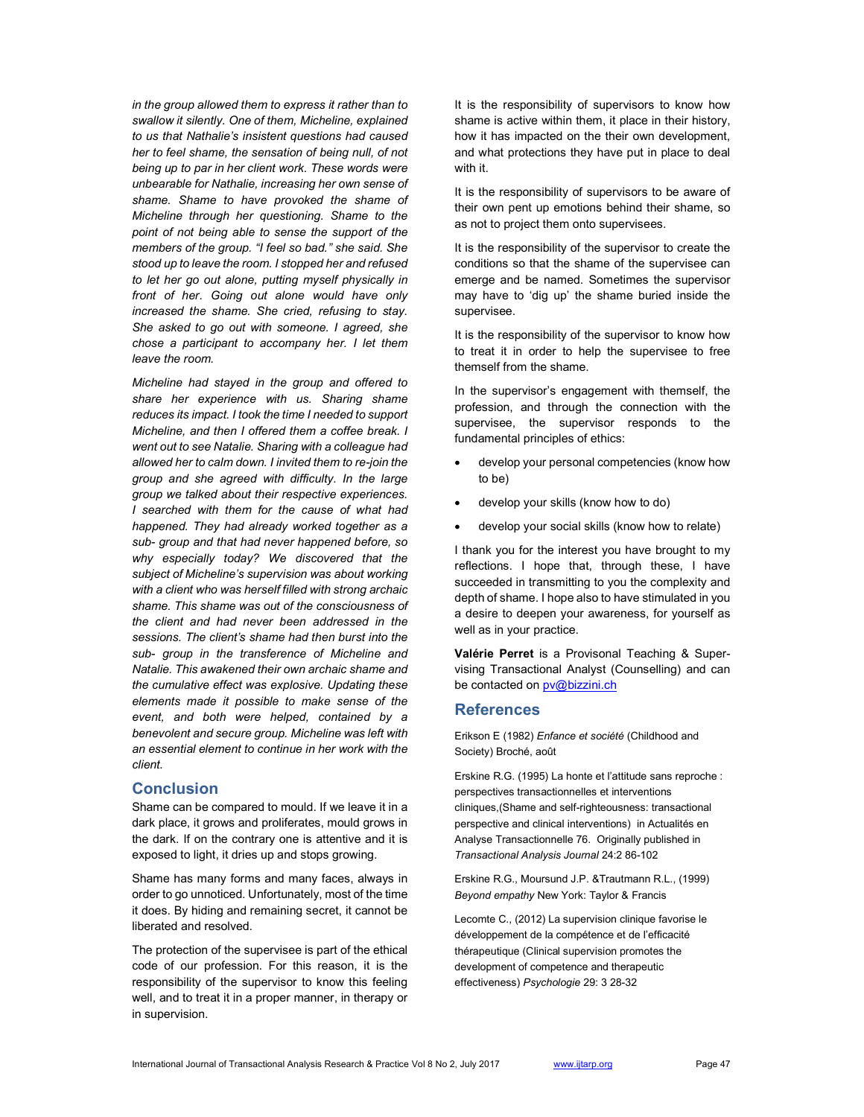in the group allowed them to express it rather than to swallow it silently. One of them, Micheline, explained to us that Nathalie's insistent questions had caused her to feel shame, the sensation of being null, of not being up to par in her client work. These words were unbearable for Nathalie, increasing her own sense of shame. Shame to have provoked the shame of Micheline through her questioning. Shame to the point of not being able to sense the support of the members of the group. "I feel so bad." she said. She stood up to leave the room. I stopped her and refused to let her go out alone, putting myself physically in front of her. Going out alone would have only increased the shame. She cried, refusing to stay. She asked to go out with someone. I agreed, she chose a participant to accompany her. I let them leave the room.

Micheline had stayed in the group and offered to share her experience with us. Sharing shame reduces its impact. I took the time I needed to support Micheline, and then I offered them a coffee break. I went out to see Natalie. Sharing with a colleague had allowed her to calm down. I invited them to re-join the group and she agreed with difficulty. In the large group we talked about their respective experiences. I searched with them for the cause of what had happened. They had already worked together as a sub- group and that had never happened before, so why especially today? We discovered that the subject of Micheline's supervision was about working with a client who was herself filled with strong archaic shame. This shame was out of the consciousness of the client and had never been addressed in the sessions. The client's shame had then burst into the sub- group in the transference of Micheline and Natalie. This awakened their own archaic shame and the cumulative effect was explosive. Updating these elements made it possible to make sense of the event, and both were helped, contained by a benevolent and secure group. Micheline was left with an essential element to continue in her work with the client.

# **Conclusion**

Shame can be compared to mould. If we leave it in a dark place, it grows and proliferates, mould grows in the dark. If on the contrary one is attentive and it is exposed to light, it dries up and stops growing.

Shame has many forms and many faces, always in order to go unnoticed. Unfortunately, most of the time it does. By hiding and remaining secret, it cannot be liberated and resolved.

The protection of the supervisee is part of the ethical code of our profession. For this reason, it is the responsibility of the supervisor to know this feeling well, and to treat it in a proper manner, in therapy or in supervision.

It is the responsibility of supervisors to know how shame is active within them, it place in their history, how it has impacted on the their own development, and what protections they have put in place to deal with it.

It is the responsibility of supervisors to be aware of their own pent up emotions behind their shame, so as not to project them onto supervisees.

It is the responsibility of the supervisor to create the conditions so that the shame of the supervisee can emerge and be named. Sometimes the supervisor may have to 'dig up' the shame buried inside the supervisee.

It is the responsibility of the supervisor to know how to treat it in order to help the supervisee to free themself from the shame.

In the supervisor's engagement with themself, the profession, and through the connection with the supervisee, the supervisor responds to the fundamental principles of ethics:

- develop your personal competencies (know how to be)
- develop your skills (know how to do)
- develop your social skills (know how to relate)

I thank you for the interest you have brought to my reflections. I hope that, through these, I have succeeded in transmitting to you the complexity and depth of shame. I hope also to have stimulated in you a desire to deepen your awareness, for yourself as well as in your practice.

Valérie Perret is a Provisonal Teaching & Supervising Transactional Analyst (Counselling) and can be contacted on **pv@bizzini.ch** 

# **References**

Erikson E (1982) Enfance et société (Childhood and Society) Broché, août

Erskine R.G. (1995) La honte et l'attitude sans reproche : perspectives transactionnelles et interventions cliniques,(Shame and self-righteousness: transactional perspective and clinical interventions) in Actualités en Analyse Transactionnelle 76. Originally published in Transactional Analysis Journal 24:2 86-102

Erskine R.G., Moursund J.P. &Trautmann R.L., (1999) Beyond empathy New York: Taylor & Francis

Lecomte C., (2012) La supervision clinique favorise le développement de la compétence et de l'efficacité thérapeutique (Clinical supervision promotes the development of competence and therapeutic effectiveness) Psychologie 29: 3 28-32